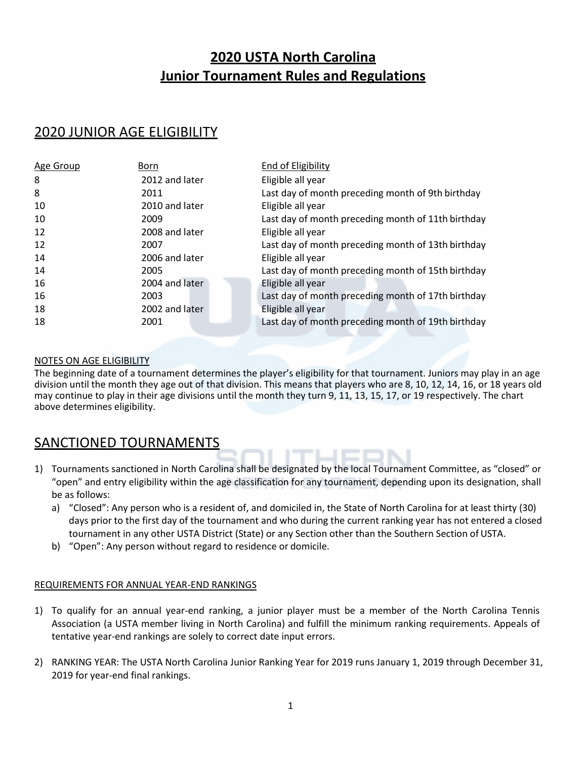# **2020 USTA North Carolina Junior Tournament Rules and Regulations**

# 2020 JUNIOR AGE ELIGIBILITY

| Age Group | <b>Born</b>    | End of Eligibility                                 |
|-----------|----------------|----------------------------------------------------|
| 8         | 2012 and later | Eligible all year                                  |
| 8         | 2011           | Last day of month preceding month of 9th birthday  |
| 10        | 2010 and later | Eligible all year                                  |
| 10        | 2009           | Last day of month preceding month of 11th birthday |
| 12        | 2008 and later | Eligible all year                                  |
| 12        | 2007           | Last day of month preceding month of 13th birthday |
| 14        | 2006 and later | Eligible all year                                  |
| 14        | 2005           | Last day of month preceding month of 15th birthday |
| 16        | 2004 and later | Eligible all year                                  |
| 16        | 2003           | Last day of month preceding month of 17th birthday |
| 18        | 2002 and later | Eligible all year                                  |
| 18        | 2001           | Last day of month preceding month of 19th birthday |

## NOTES ON AGE ELIGIBILITY

The beginning date of a tournament determines the player's eligibility for that tournament. Juniors may play in an age division until the month they age out of that division. This means that players who are 8, 10, 12, 14, 16, or 18 years old may continue to play in their age divisions until the month they turn 9, 11, 13, 15, 17, or 19 respectively. The chart above determines eligibility.

## SANCTIONED TOURNAMENTS

- 1) Tournaments sanctioned in North Carolina shall be designated by the local Tournament Committee, as "closed" or "open" and entry eligibility within the age classification for any tournament, depending upon its designation, shall be as follows:
	- a) "Closed": Any person who is a resident of, and domiciled in, the State of North Carolina for at least thirty (30) days prior to the first day of the tournament and who during the current ranking year has not entered a closed tournament in any other USTA District (State) or any Section other than the Southern Section of USTA.
	- b) "Open": Any person without regard to residence or domicile.

## REQUIREMENTS FOR ANNUAL YEAR-END RANKINGS

- 1) To qualify for an annual year-end ranking, a junior player must be a member of the North Carolina Tennis Association (a USTA member living in North Carolina) and fulfill the minimum ranking requirements. Appeals of tentative year-end rankings are solely to correct date input errors.
- 2) RANKING YEAR: The USTA North Carolina Junior Ranking Year for 2019 runs January 1, 2019 through December 31, 2019 for year-end final rankings.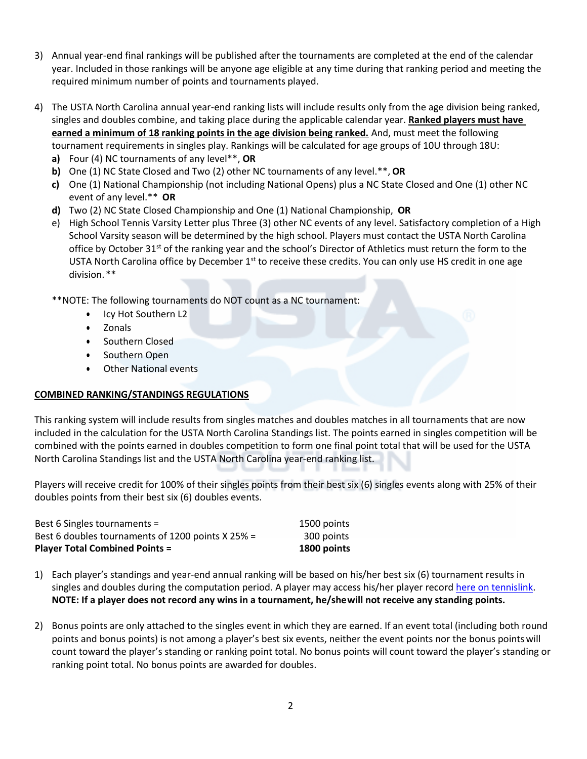- 3) Annual year-end final rankings will be published after the tournaments are completed at the end of the calendar year. Included in those rankings will be anyone age eligible at any time during that ranking period and meeting the required minimum number of points and tournaments played.
- 4) The USTA North Carolina annual year-end ranking lists will include results only from the age division being ranked, singles and doubles combine, and taking place during the applicable calendar year. **Ranked players must have earned a minimum of 18 ranking points in the age division being ranked.** And, must meet the following tournament requirements in singles play. Rankings will be calculated for age groups of 10U through 18U:
	- **a)** Four (4) NC tournaments of any level\*\*, **OR**
	- **b)** One (1) NC State Closed and Two (2) other NC tournaments of any level.\*\*, **OR**
	- **c)** One (1) National Championship (not including National Opens) plus a NC State Closed and One (1) other NC event of any level.\*\* **OR**
	- **d)** Two (2) NC State Closed Championship and One (1) National Championship, **OR**
	- e) High School Tennis Varsity Letter plus Three (3) other NC events of any level. Satisfactory completion of a High School Varsity season will be determined by the high school. Players must contact the USTA North Carolina office by October  $31^{st}$  of the ranking year and the school's Director of Athletics must return the form to the USTA North Carolina office by December  $1<sup>st</sup>$  to receive these credits. You can only use HS credit in one age division.\*\*

\*\*NOTE: The following tournaments do NOT count as a NC tournament:

- Icy Hot Southern L2
- Zonals
- Southern Closed
- Southern Open
- **Other National events**

## **COMBINED RANKING/STANDINGS REGULATIONS**

This ranking system will include results from singles matches and doubles matches in all tournaments that are now included in the calculation for the USTA North Carolina Standings list. The points earned in singles competition will be combined with the points earned in doubles competition to form one final point total that will be used for the USTA North Carolina Standings list and the USTA North Carolina year-end ranking list.

Players will receive credit for 100% of their singles points from their best six (6) singles events along with 25% of their doubles points from their best six (6) doubles events.

| <b>Player Total Combined Points =</b>             | 1800 points |
|---------------------------------------------------|-------------|
| Best 6 doubles tournaments of 1200 points X 25% = | 300 points  |
| Best 6 Singles tournaments $=$                    | 1500 points |

- 1) Each player's standings and year-end annual ranking will be based on his/her best six (6) tournament results in singles and doubles during the computation period. A player may access his/her player record [here on tennislink.](https://tennislink.usta.com/Tournaments/Common/Default.aspx) **NOTE: If a player does not record any wins in a tournament, he/shewill not receive any standing points.**
- 2) Bonus points are only attached to the singles event in which they are earned. If an event total (including both round points and bonus points) is not among a player's best six events, neither the event points nor the bonus pointswill count toward the player's standing or ranking point total. No bonus points will count toward the player's standing or ranking point total. No bonus points are awarded for doubles.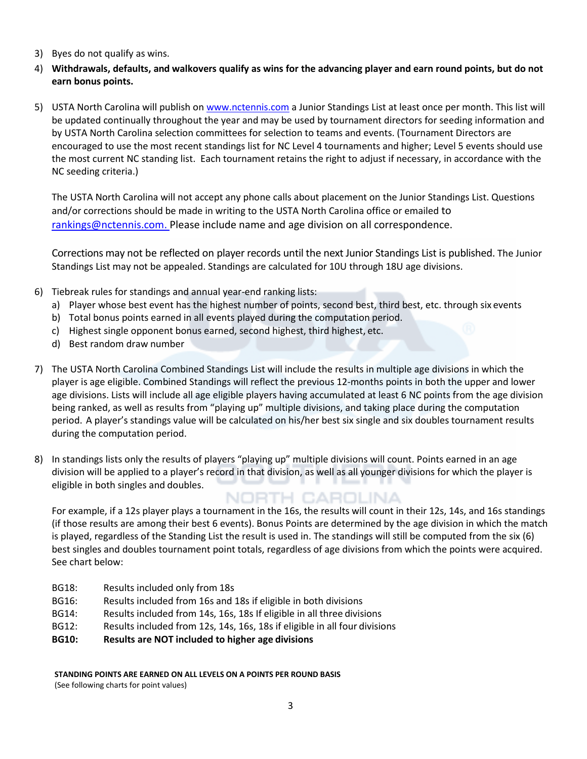- 3) Byes do not qualify as wins.
- 4) **Withdrawals, defaults, and walkovers qualify as wins for the advancing player and earn round points, but do not earn bonus points.**
- 5) USTA North Carolina will publish on [www.nctennis.com](http://www.nctennis.com/) a Junior Standings List at least once per month. This list will be updated continually throughout the year and may be used by tournament directors for seeding information and by USTA North Carolina selection committees for selection to teams and events. (Tournament Directors are encouraged to use the most recent standings list for NC Level 4 tournaments and higher; Level 5 events should use the most current NC standing list. Each tournament retains the right to adjust if necessary, in accordance with the NC seeding criteria.)

The USTA North Carolina will not accept any phone calls about placement on the Junior Standings List. Questions and/or corrections should be made in writing to the USTA North Carolina office or emailed to [rankings@nctennis.com.](mailto:rankings@nctennis.com) Please include name and age division on all correspondence.

Corrections may not be reflected on player records until the next Junior Standings List is published. The Junior Standings List may not be appealed. Standings are calculated for 10U through 18U age divisions.

- 6) Tiebreak rules for standings and annual year-end ranking lists:
	- a) Player whose best event has the highest number of points, second best, third best, etc. through six events
	- b) Total bonus points earned in all events played during the computation period.
	- c) Highest single opponent bonus earned, second highest, third highest, etc.
	- d) Best random draw number
- 7) The USTA North Carolina Combined Standings List will include the results in multiple age divisions in which the player is age eligible. Combined Standings will reflect the previous 12-months points in both the upper and lower age divisions. Lists will include all age eligible players having accumulated at least 6 NC points from the age division being ranked, as well as results from "playing up" multiple divisions, and taking place during the computation period. A player's standings value will be calculated on his/her best six single and six doubles tournament results during the computation period.
- 8) In standings lists only the results of players "playing up" multiple divisions will count. Points earned in an age division will be applied to a player's record in that division, as well as all younger divisions for which the player is eligible in both singles and doubles. NORTH CAROLINA

For example, if a 12s player plays a tournament in the 16s, the results will count in their 12s, 14s, and 16s standings (if those results are among their best 6 events). Bonus Points are determined by the age division in which the match is played, regardless of the Standing List the result is used in. The standings will still be computed from the six (6) best singles and doubles tournament point totals, regardless of age divisions from which the points were acquired. See chart below:

- BG18: Results included only from 18s
- BG16: Results included from 16s and 18s if eligible in both divisions
- BG14: Results included from 14s, 16s, 18s If eligible in all three divisions
- BG12: Results included from 12s, 14s, 16s, 18s if eligible in all four divisions
- **BG10: Results are NOT included to higher age divisions**

**STANDING POINTS ARE EARNED ON ALL LEVELS ON A POINTS PER ROUND BASIS** (See following charts for point values)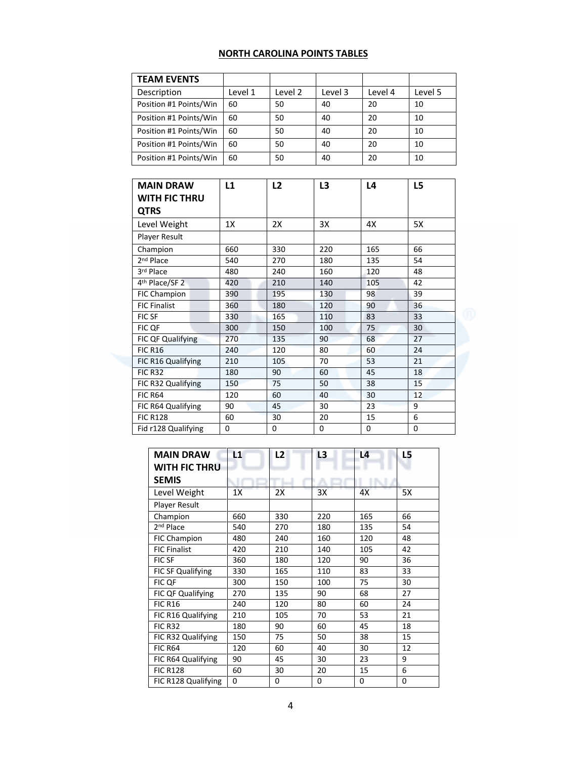## **NORTH CAROLINA POINTS TABLES**

| <b>TEAM EVENTS</b>     |         |         |         |         |         |
|------------------------|---------|---------|---------|---------|---------|
| Description            | Level 1 | Level 2 | Level 3 | Level 4 | Level 5 |
| Position #1 Points/Win | 60      | 50      | 40      | 20      | 10      |
| Position #1 Points/Win | 60      | 50      | 40      | 20      | 10      |
| Position #1 Points/Win | 60      | 50      | 40      | 20      | 10      |
| Position #1 Points/Win | 60      | 50      | 40      | 20      | 10      |
| Position #1 Points/Win | 60      | 50      | 40      | 20      | 10      |

| <b>MAIN DRAW</b><br><b>WITH FIC THRU</b> | L1  | L2  | L3  | L4  | L5 |
|------------------------------------------|-----|-----|-----|-----|----|
| <b>QTRS</b>                              |     |     |     |     |    |
| Level Weight                             | 1X  | 2X  | 3X  | 4X  | 5X |
| Player Result                            |     |     |     |     |    |
| Champion                                 | 660 | 330 | 220 | 165 | 66 |
| 2 <sup>nd</sup> Place                    | 540 | 270 | 180 | 135 | 54 |
| 3rd Place                                | 480 | 240 | 160 | 120 | 48 |
| 4 <sup>th</sup> Place/SF 2               | 420 | 210 | 140 | 105 | 42 |
| <b>FIC Champion</b>                      | 390 | 195 | 130 | 98  | 39 |
| <b>FIC Finalist</b>                      | 360 | 180 | 120 | 90  | 36 |
| FIC SF                                   | 330 | 165 | 110 | 83  | 33 |
| FIC QF                                   | 300 | 150 | 100 | 75  | 30 |
| FIC QF Qualifying                        | 270 | 135 | 90  | 68  | 27 |
| <b>FIC R16</b>                           | 240 | 120 | 80  | 60  | 24 |
| FIC R16 Qualifying                       | 210 | 105 | 70  | 53  | 21 |
| <b>FIC R32</b>                           | 180 | 90  | 60  | 45  | 18 |
| FIC R32 Qualifying                       | 150 | 75  | 50  | 38  | 15 |
| <b>FIC R64</b>                           | 120 | 60  | 40  | 30  | 12 |
| FIC R64 Qualifying                       | 90  | 45  | 30  | 23  | 9  |
| <b>FIC R128</b>                          | 60  | 30  | 20  | 15  | 6  |
| Fid r128 Qualifying                      | 0   | 0   | 0   | 0   | 0  |

| <b>MAIN DRAW</b>      | L1  | L <sub>2</sub> | L <sub>3</sub> | L4  | L5 |
|-----------------------|-----|----------------|----------------|-----|----|
| <b>WITH FIC THRU</b>  |     |                |                |     |    |
| <b>SEMIS</b>          |     |                |                |     |    |
| Level Weight          | 1X  | 2X             | 3X             | 4X  | 5X |
| <b>Player Result</b>  |     |                |                |     |    |
| Champion              | 660 | 330            | 220            | 165 | 66 |
| 2 <sup>nd</sup> Place | 540 | 270            | 180            | 135 | 54 |
| <b>FIC Champion</b>   | 480 | 240            | 160            | 120 | 48 |
| <b>FIC Finalist</b>   | 420 | 210            | 140            | 105 | 42 |
| FIC SF                | 360 | 180            | 120            | 90  | 36 |
| FIC SF Qualifying     | 330 | 165            | 110            | 83  | 33 |
| FIC QF                | 300 | 150            | 100            | 75  | 30 |
| FIC QF Qualifying     | 270 | 135            | 90             | 68  | 27 |
| <b>FIC R16</b>        | 240 | 120            | 80             | 60  | 24 |
| FIC R16 Qualifying    | 210 | 105            | 70             | 53  | 21 |
| <b>FIC R32</b>        | 180 | 90             | 60             | 45  | 18 |
| FIC R32 Qualifying    | 150 | 75             | 50             | 38  | 15 |
| <b>FIC R64</b>        | 120 | 60             | 40             | 30  | 12 |
| FIC R64 Qualifying    | 90  | 45             | 30             | 23  | 9  |
| <b>FIC R128</b>       | 60  | 30             | 20             | 15  | 6  |
| FIC R128 Qualifying   | 0   | 0              | 0              | 0   | 0  |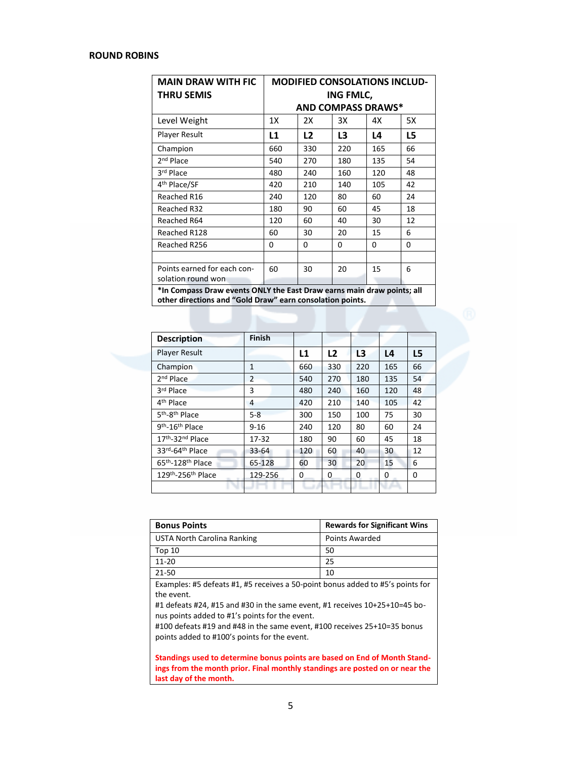| <b>MAIN DRAW WITH FIC</b><br><b>THRU SEMIS</b>                         | <b>MODIFIED CONSOLATIONS INCLUD-</b><br>ING FMLC. |                           |                |     |    |  |
|------------------------------------------------------------------------|---------------------------------------------------|---------------------------|----------------|-----|----|--|
|                                                                        |                                                   | <b>AND COMPASS DRAWS*</b> |                |     |    |  |
| Level Weight                                                           | 1X                                                | 2X                        | 3X             | 4X  | 5X |  |
| <b>Player Result</b>                                                   | L1                                                | L2                        | L <sub>3</sub> | L4  | L5 |  |
| Champion                                                               | 660                                               | 330                       | 220            | 165 | 66 |  |
| 2 <sup>nd</sup> Place                                                  | 540                                               | 270                       | 180            | 135 | 54 |  |
| 3rd Place                                                              | 480                                               | 240                       | 160            | 120 | 48 |  |
| 4 <sup>th</sup> Place/SF                                               | 420                                               | 210                       | 140            | 105 | 42 |  |
| Reached R16                                                            | 240                                               | 120                       | 80             | 60  | 24 |  |
| Reached R32                                                            | 180                                               | 90                        | 60             | 45  | 18 |  |
| Reached R64                                                            | 120                                               | 60                        | 40             | 30  | 12 |  |
| Reached R128                                                           | 60                                                | 30                        | 20             | 15  | 6  |  |
| Reached R256                                                           | 0                                                 | 0                         | 0              | 0   | 0  |  |
|                                                                        |                                                   |                           |                |     |    |  |
| Points earned for each con-<br>solation round won                      | 60                                                | 30                        | 20             | 15  | 6  |  |
| *In Compass Draw events ONLY the East Draw earns main draw points; all |                                                   |                           |                |     |    |  |

**other directions and "Gold Draw" earn consolation points.**

| <b>Description</b>                     | <b>Finish</b>  |     |     |                |                |    |
|----------------------------------------|----------------|-----|-----|----------------|----------------|----|
| <b>Player Result</b>                   |                | L1  | L2  | L <sub>3</sub> | L <sub>4</sub> | L5 |
| Champion                               | 1              | 660 | 330 | 220            | 165            | 66 |
| $2nd$ Place                            | $\overline{2}$ | 540 | 270 | 180            | 135            | 54 |
| 3rd Place                              | 3              | 480 | 240 | 160            | 120            | 48 |
| 4 <sup>th</sup> Place                  | 4              | 420 | 210 | 140            | 105            | 42 |
| 5 <sup>th</sup> -8 <sup>th</sup> Place | $5 - 8$        | 300 | 150 | 100            | 75             | 30 |
| 9th-16th Place                         | $9 - 16$       | 240 | 120 | 80             | 60             | 24 |
| 17th-32nd Place                        | 17-32          | 180 | 90  | 60             | 45             | 18 |
| 33rd-64th Place                        | 33-64          | 120 | 60  | 40             | 30             | 12 |
| 65th-128th Place                       | 65-128         | 60  | 30  | 20             | 15             | 6  |
| 129th-256th Place                      | 129-256        | 0   | 0   | 0              | 0              | 0  |
|                                        |                |     |     |                |                |    |

| <b>Bonus Points</b>                                                                                                                                                                                     | <b>Rewards for Significant Wins</b> |  |  |  |  |  |
|---------------------------------------------------------------------------------------------------------------------------------------------------------------------------------------------------------|-------------------------------------|--|--|--|--|--|
| USTA North Carolina Ranking                                                                                                                                                                             | <b>Points Awarded</b>               |  |  |  |  |  |
| Top $10$                                                                                                                                                                                                | 50                                  |  |  |  |  |  |
| $11 - 20$                                                                                                                                                                                               | 25                                  |  |  |  |  |  |
| 21-50                                                                                                                                                                                                   | 10                                  |  |  |  |  |  |
| Examples: #5 defeats #1, #5 receives a 50-point bonus added to #5's points for<br>the event.                                                                                                            |                                     |  |  |  |  |  |
| #1 defeats #24, #15 and #30 in the same event, #1 receives 10+25+10=45 bo-<br>nus points added to #1's points for the event.<br>#100 defeats #19 and #48 in the same event #100 receives 25+10-35 hopus |                                     |  |  |  |  |  |

#100 defeats #19 and #48 in the same event, #100 receives 25+10=35 bonus points added to #100's points for the event.

**Standings used to determine bonus points are based on End of Month Standings from the month prior. Final monthly standings are posted on or near the last day of the month.**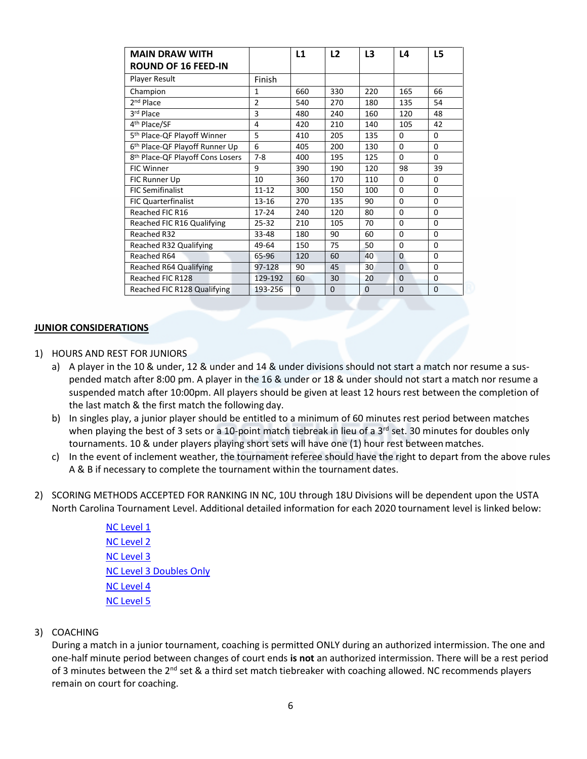| <b>MAIN DRAW WITH</b><br><b>ROUND OF 16 FEED-IN</b> |                | L1       | L2       | L <sub>3</sub> | L4          | L5       |
|-----------------------------------------------------|----------------|----------|----------|----------------|-------------|----------|
| <b>Player Result</b>                                | Finish         |          |          |                |             |          |
| Champion                                            | 1              | 660      | 330      | 220            | 165         | 66       |
| 2 <sup>nd</sup> Place                               | $\overline{2}$ | 540      | 270      | 180            | 135         | 54       |
| 3rd Place                                           | 3              | 480      | 240      | 160            | 120         | 48       |
| 4 <sup>th</sup> Place/SF                            | 4              | 420      | 210      | 140            | 105         | 42       |
| 5 <sup>th</sup> Place-QF Playoff Winner             | 5              | 410      | 205      | 135            | 0           | 0        |
| 6th Place-QF Playoff Runner Up                      | 6              | 405      | 200      | 130            | $\Omega$    | $\Omega$ |
| 8 <sup>th</sup> Place-QF Playoff Cons Losers        | $7 - 8$        | 400      | 195      | 125            | $\Omega$    | $\Omega$ |
| <b>FIC Winner</b>                                   | 9              | 390      | 190      | 120            | 98          | 39       |
| FIC Runner Up                                       | 10             | 360      | 170      | 110            | 0           | $\Omega$ |
| <b>FIC Semifinalist</b>                             | $11 - 12$      | 300      | 150      | 100            | $\Omega$    | $\Omega$ |
| <b>FIC Quarterfinalist</b>                          | 13-16          | 270      | 135      | 90             | $\Omega$    | $\Omega$ |
| Reached FIC R16                                     | 17-24          | 240      | 120      | 80             | $\Omega$    | $\Omega$ |
| Reached FIC R16 Qualifying                          | $25 - 32$      | 210      | 105      | 70             | $\Omega$    | $\Omega$ |
| Reached R32                                         | 33-48          | 180      | 90       | 60             | $\Omega$    | $\Omega$ |
| Reached R32 Qualifying                              | 49-64          | 150      | 75       | 50             | $\Omega$    | $\Omega$ |
| Reached R64                                         | 65-96          | 120      | 60       | 40             | $\mathbf 0$ | $\Omega$ |
| Reached R64 Qualifying                              | 97-128         | 90       | 45       | 30             | $\Omega$    | $\Omega$ |
| Reached FIC R128                                    | 129-192        | 60       | 30       | 20             | $\mathbf 0$ | $\Omega$ |
| Reached FIC R128 Qualifying                         | 193-256        | $\Omega$ | $\Omega$ | $\Omega$       | $\Omega$    | $\Omega$ |

#### **JUNIOR CONSIDERATIONS**

- 1) HOURS AND REST FOR JUNIORS
	- a) A player in the 10 & under, 12 & under and 14 & under divisions should not start a match nor resume a suspended match after 8:00 pm. A player in the 16 & under or 18 & under should not start a match nor resume a suspended match after 10:00pm. All players should be given at least 12 hours rest between the completion of the last match & the first match the following day.
	- b) In singles play, a junior player should be entitled to a minimum of 60 minutes rest period between matches when playing the best of 3 sets or a 10-point match tiebreak in lieu of a  $3<sup>rd</sup>$  set. 30 minutes for doubles only tournaments. 10 & under players playing short sets will have one (1) hour rest betweenmatches.
	- c) In the event of inclement weather, the tournament referee should have the right to depart from the above rules A & B if necessary to complete the tournament within the tournament dates.
- 2) SCORING METHODS ACCEPTED FOR RANKING IN NC, 10U through 18U Divisions will be dependent upon the USTA North Carolina Tournament Level. Additional detailed information for each 2020 tournament level is linked below:
	- [NC Level 1](https://nctennis.com/documents/2019/12/11/2020_FINAL_NC_L1_singles_doubs_11_8_19home_page.pdf?id=320) [NC Level 2](https://nctennis.com/documents/2019/12/11/2020_FINAL_NC_L2_STAL3_home_page.pdf?id=317) [NC Level 3](https://nctennis.com/documents/2019/12/11/2020_FINAL_NC_L3_singles_doubs_11_1_19home_page.pdf?id=321) [NC Level 3 Doubles Only](https://nctennis.com/documents/2020/1/14/2020_FINAL_NC_L3_DOUBLES_ONLY_1_14_20home_page.pdf?id=326) [NC Level 4](https://nctennis.com/documents/2019/12/11/2020_FINAL_L4_home_page11_1_19.pdf?id=316) [NC Level 5](https://nctennis.com/documents/2019/12/11/2020_FINAL_L5_home_page11_1_19.pdf?id=318)
- 3) COACHING

During a match in a junior tournament, coaching is permitted ONLY during an authorized intermission. The one and one-half minute period between changes of court ends **is not** an authorized intermission. There will be a rest period of 3 minutes between the 2<sup>nd</sup> set & a third set match tiebreaker with coaching allowed. NC recommends players remain on court for coaching.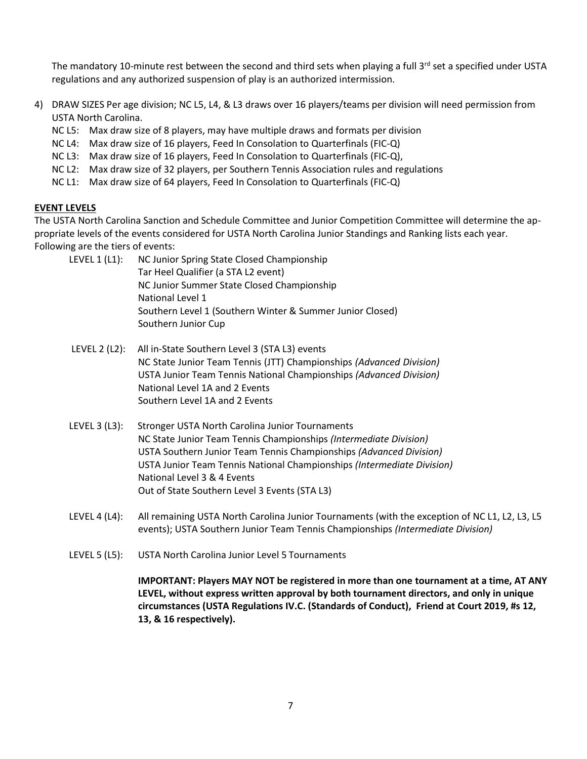The mandatory 10-minute rest between the second and third sets when playing a full 3<sup>rd</sup> set a specified under USTA regulations and any authorized suspension of play is an authorized intermission.

- 4) DRAW SIZES Per age division; NC L5, L4, & L3 draws over 16 players/teams per division will need permission from USTA North Carolina.
	- NC L5: Max draw size of 8 players, may have multiple draws and formats per division
	- NC L4: Max draw size of 16 players, Feed In Consolation to Quarterfinals (FIC-Q)
	- NC L3: Max draw size of 16 players, Feed In Consolation to Quarterfinals (FIC-Q),
	- NC L2: Max draw size of 32 players, per Southern Tennis Association rules and regulations
	- NC L1: Max draw size of 64 players, Feed In Consolation to Quarterfinals (FIC-Q)

## **EVENT LEVELS**

The USTA North Carolina Sanction and Schedule Committee and Junior Competition Committee will determine the appropriate levels of the events considered for USTA North Carolina Junior Standings and Ranking lists each year. Following are the tiers of events:

- LEVEL 1 (L1): NC Junior Spring State Closed Championship Tar Heel Qualifier (a STA L2 event) NC Junior Summer State Closed Championship National Level 1 Southern Level 1 (Southern Winter & Summer Junior Closed) Southern Junior Cup
- LEVEL 2 (L2): All in-State Southern Level 3 (STA L3) events NC State Junior Team Tennis (JTT) Championships *(Advanced Division)*  USTA Junior Team Tennis National Championships *(Advanced Division)*  National Level 1A and 2 Events Southern Level 1A and 2 Events
- LEVEL 3 (L3): Stronger USTA North Carolina Junior Tournaments NC State Junior Team Tennis Championships *(Intermediate Division)*  USTA Southern Junior Team Tennis Championships *(Advanced Division)*  USTA Junior Team Tennis National Championships *(Intermediate Division)*  National Level 3 & 4 Events Out of State Southern Level 3 Events (STA L3)
- LEVEL 4 (L4): All remaining USTA North Carolina Junior Tournaments (with the exception of NC L1, L2, L3, L5 events); USTA Southern Junior Team Tennis Championships *(Intermediate Division)*
- LEVEL 5 (L5): USTA North Carolina Junior Level 5 Tournaments

**IMPORTANT: Players MAY NOT be registered in more than one tournament at a time, AT ANY LEVEL, without express written approval by both tournament directors, and only in unique circumstances (USTA Regulations IV.C. (Standards of Conduct), Friend at Court 2019, #s 12, 13, & 16 respectively).**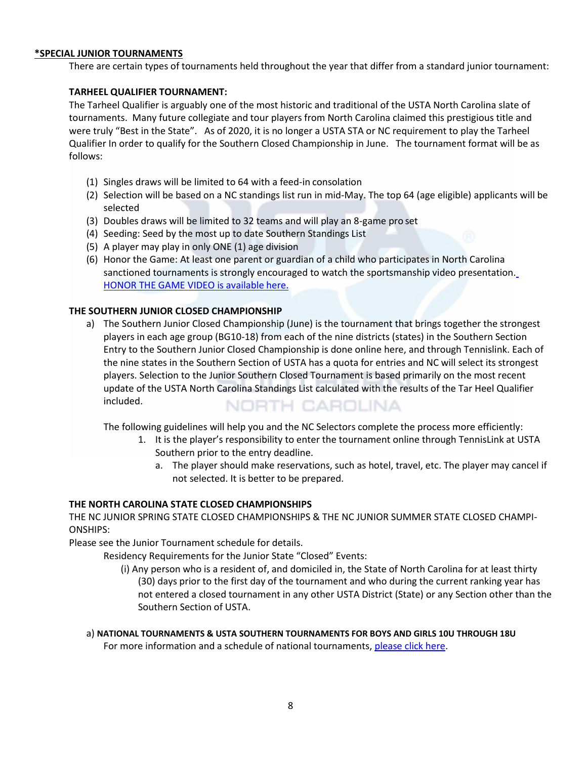#### **\*SPECIAL JUNIOR TOURNAMENTS**

There are certain types of tournaments held throughout the year that differ from a standard junior tournament:

## **TARHEEL QUALIFIER TOURNAMENT:**

The Tarheel Qualifier is arguably one of the most historic and traditional of the USTA North Carolina slate of tournaments. Many future collegiate and tour players from North Carolina claimed this prestigious title and were truly "Best in the State". As of 2020, it is no longer a USTA STA or NC requirement to play the Tarheel Qualifier In order to qualify for the Southern Closed Championship in June. The tournament format will be as follows:

- (1) Singles draws will be limited to 64 with a feed-in consolation
- (2) Selection will be based on a NC standings list run in mid-May. The top 64 (age eligible) applicants will be selected
- (3) Doubles draws will be limited to 32 teams and will play an 8-game pro set
- (4) Seeding: Seed by the most up to date Southern Standings List
- (5) A player may play in only ONE (1) age division
- (6) Honor the Game: At least one parent or guardian of a child who participates in North Carolina sanctioned tournaments is strongly encouraged to watch the sportsmanship video presentation[.](http://www.honorthegame.net/) [HONOR THE GAME VIDEO is available](http://www.honorthegame.net/) here.

## **THE SOUTHERN JUNIOR CLOSED CHAMPIONSHIP**

a) The Southern Junior Closed Championship (June) is the tournament that brings together the strongest players in each age group (BG10-18) from each of the nine districts (states) in the Southern Section Entry to the Southern Junior Closed Championship is done online here, and through Tennislink. Each of the nine states in the Southern Section of USTA has a quota for entries and NC will select its strongest players. Selection to the Junior Southern Closed Tournament is based primarily on the most recent update of the USTA North Carolina Standings List calculated with the results of the Tar Heel Qualifier included. **NORTH CAROLINA** 

The following guidelines will help you and the NC Selectors complete the process more efficiently:

- 1. It is the player's responsibility to enter the tournament online through TennisLink at USTA Southern prior to the entry deadline.
	- a. The player should make reservations, such as hotel, travel, etc. The player may cancel if not selected. It is better to be prepared.

## **THE NORTH CAROLINA STATE CLOSED CHAMPIONSHIPS**

THE NC JUNIOR SPRING STATE CLOSED CHAMPIONSHIPS & THE NC JUNIOR SUMMER STATE CLOSED CHAMPI-ONSHIPS:

Please see the Junior Tournament schedule for details.

Residency Requirements for the Junior State "Closed" Events:

- (i) Any person who is a resident of, and domiciled in, the State of North Carolina for at least thirty (30) days prior to the first day of the tournament and who during the current ranking year has not entered a closed tournament in any other USTA District (State) or any Section other than the Southern Section of USTA.
- a) **NATIONAL TOURNAMENTS & USTA SOUTHERN TOURNAMENTS FOR BOYS AND GIRLS 10U THROUGH 18U** For more information and a schedule of national tournaments[, please click here.](https://www.usta.com/content/dam/usta/pdfs/2019%20NJTS.pdf)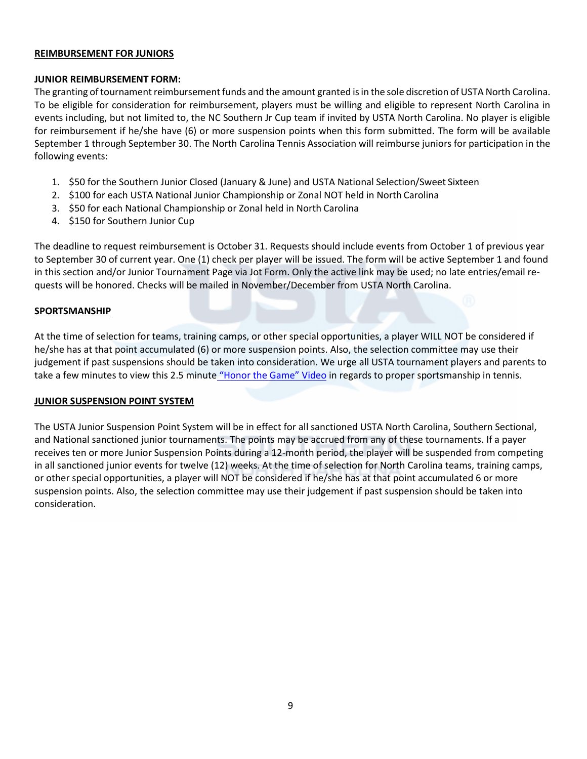#### **REIMBURSEMENT FOR JUNIORS**

## **JUNIOR REIMBURSEMENT FORM:**

The granting of tournament reimbursement funds and the amount granted is in the sole discretion of USTA North Carolina. To be eligible for consideration for reimbursement, players must be willing and eligible to represent North Carolina in events including, but not limited to, the NC Southern Jr Cup team if invited by USTA North Carolina. No player is eligible for reimbursement if he/she have (6) or more suspension points when this form submitted. The form will be available September 1 through September 30. The North Carolina Tennis Association will reimburse juniors for participation in the following events:

- 1. \$50 for the Southern Junior Closed (January & June) and USTA National Selection/Sweet Sixteen
- 2. \$100 for each USTA National Junior Championship or Zonal NOT held in North Carolina
- 3. \$50 for each National Championship or Zonal held in North Carolina
- 4. \$150 for Southern Junior Cup

The deadline to request reimbursement is October 31. Requests should include events from October 1 of previous year to September 30 of current year. One (1) check per player will be issued. The form will be active September 1 and found in this section and/or Junior Tournament Page via Jot Form. Only the active link may be used; no late entries/email requests will be honored. Checks will be mailed in November/December from USTA North Carolina.

## **SPORTSMANSHIP**

At the time of selection for teams, training camps, or other special opportunities, a player WILL NOT be considered if he/she has at that point accumulated (6) or more suspension points. Also, the selection committee may use their judgement if past suspensions should be taken into consideration. We urge all USTA tournament players and parents to take a few minutes to view this 2.5 minute ["Honor the Game" Video](http://www.honorthegame.net/) in regards to proper sportsmanship in tennis.

#### **JUNIOR SUSPENSION POINT SYSTEM**

The USTA Junior Suspension Point System will be in effect for all sanctioned USTA North Carolina, Southern Sectional, and National sanctioned junior tournaments. The points may be accrued from any of these tournaments. If a payer receives ten or more Junior Suspension Points during a 12-month period, the player will be suspended from competing in all sanctioned junior events for twelve (12) weeks. At the time of selection for North Carolina teams, training camps, or other special opportunities, a player will NOT be considered if he/she has at that point accumulated 6 or more suspension points. Also, the selection committee may use their judgement if past suspension should be taken into consideration.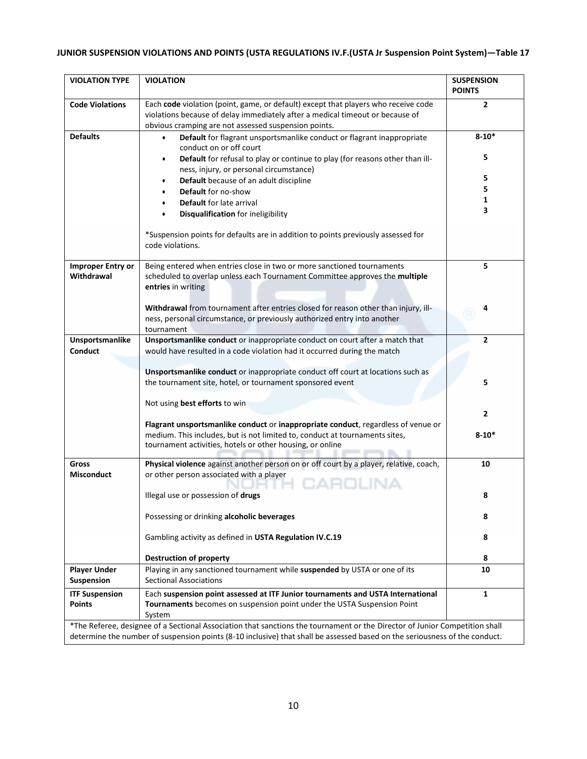## **JUNIOR SUSPENSION VIOLATIONS AND POINTS (USTA REGULATIONS IV.F.(USTA Jr Suspension Point System)—Table 17**

| <b>VIOLATION TYPE</b>                  | <b>VIOLATION</b>                                                                                                                                                                                                                                          | <b>SUSPENSION</b><br><b>POINTS</b> |
|----------------------------------------|-----------------------------------------------------------------------------------------------------------------------------------------------------------------------------------------------------------------------------------------------------------|------------------------------------|
| <b>Code Violations</b>                 | Each code violation (point, game, or default) except that players who receive code<br>violations because of delay immediately after a medical timeout or because of<br>obvious cramping are not assessed suspension points.                               | $\overline{2}$                     |
| <b>Defaults</b>                        | Default for flagrant unsportsmanlike conduct or flagrant inappropriate<br>$\bullet$<br>conduct on or off court                                                                                                                                            | $8 - 10*$                          |
|                                        | Default for refusal to play or continue to play (for reasons other than ill-<br>$\bullet$<br>ness, injury, or personal circumstance)                                                                                                                      | 5                                  |
|                                        | Default because of an adult discipline                                                                                                                                                                                                                    | 5                                  |
|                                        | <b>Default</b> for no-show                                                                                                                                                                                                                                | 5                                  |
|                                        | Default for late arrival                                                                                                                                                                                                                                  | 1<br>3                             |
|                                        | Disqualification for ineligibility                                                                                                                                                                                                                        |                                    |
|                                        | *Suspension points for defaults are in addition to points previously assessed for<br>code violations.                                                                                                                                                     |                                    |
| <b>Improper Entry or</b><br>Withdrawal | Being entered when entries close in two or more sanctioned tournaments<br>scheduled to overlap unless each Tournament Committee approves the multiple<br>entries in writing                                                                               | 5                                  |
|                                        | Withdrawal from tournament after entries closed for reason other than injury, ill-<br>ness, personal circumstance, or previously authorized entry into another<br>tournament                                                                              | 4                                  |
| Unsportsmanlike                        | Unsportsmanlike conduct or inappropriate conduct on court after a match that                                                                                                                                                                              | $\overline{2}$                     |
| Conduct                                | would have resulted in a code violation had it occurred during the match                                                                                                                                                                                  |                                    |
|                                        | Unsportsmanlike conduct or inappropriate conduct off court at locations such as<br>the tournament site, hotel, or tournament sponsored event<br>Not using best efforts to win                                                                             | 5                                  |
|                                        |                                                                                                                                                                                                                                                           | 2                                  |
|                                        | Flagrant unsportsmanlike conduct or inappropriate conduct, regardless of venue or<br>medium. This includes, but is not limited to, conduct at tournaments sites,<br>tournament activities, hotels or other housing, or online                             | $8 - 10*$                          |
| Gross                                  | Physical violence against another person on or off court by a player, relative, coach,                                                                                                                                                                    | 10                                 |
| <b>Misconduct</b>                      | or other person associated with a player                                                                                                                                                                                                                  |                                    |
|                                        | Illegal use or possession of drugs                                                                                                                                                                                                                        | 8                                  |
|                                        | Possessing or drinking alcoholic beverages                                                                                                                                                                                                                | 8                                  |
|                                        | Gambling activity as defined in USTA Regulation IV.C.19                                                                                                                                                                                                   | 8                                  |
|                                        | <b>Destruction of property</b>                                                                                                                                                                                                                            | 8                                  |
| <b>Player Under</b>                    | Playing in any sanctioned tournament while suspended by USTA or one of its                                                                                                                                                                                | 10                                 |
| Suspension                             | <b>Sectional Associations</b>                                                                                                                                                                                                                             |                                    |
| <b>ITF Suspension</b>                  | Each suspension point assessed at ITF Junior tournaments and USTA International                                                                                                                                                                           | 1                                  |
| <b>Points</b>                          | Tournaments becomes on suspension point under the USTA Suspension Point<br>System                                                                                                                                                                         |                                    |
|                                        | *The Referee, designee of a Sectional Association that sanctions the tournament or the Director of Junior Competition shall<br>determine the number of suspension points (8-10 inclusive) that shall be assessed based on the seriousness of the conduct. |                                    |